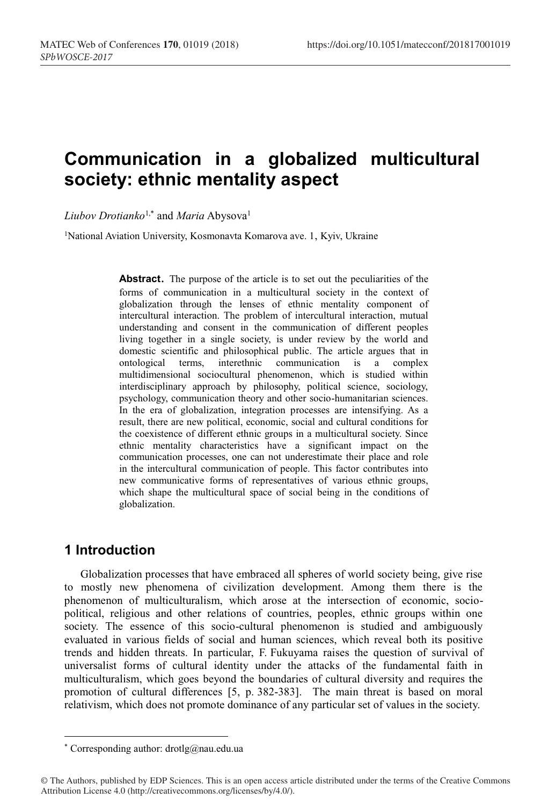# **Communication in a globalized multicultural society: ethnic mentality aspect**

Liubov Drotianko<sup>1,\*</sup> and *Maria* Abysova<sup>1</sup>

<sup>1</sup>National Aviation University, Kosmonavta Komarova ave. 1, Kyiv, Ukraine

**Abstract**. The purpose of the article is to set out the peculiarities of the forms of communication in a multicultural society in the context of globalization through the lenses of ethnic mentality component of intercultural interaction. The problem of intercultural interaction, mutual understanding and consent in the communication of different peoples living together in a single society, is under review by the world and domestic scientific and philosophical public. The article argues that in ontological terms, interethnic communication is a complex multidimensional sociocultural phenomenon, which is studied within interdisciplinary approach by philosophy, political science, sociology, psychology, communication theory and other socio-humanitarian sciences. In the era of globalization, integration processes are intensifying. As a result, there are new political, economic, social and cultural conditions for the coexistence of different ethnic groups in a multicultural society. Since ethnic mentality characteristics have a significant impact on the communication processes, one can not underestimate their place and role in the intercultural communication of people. This factor contributes into new communicative forms of representatives of various ethnic groups, which shape the multicultural space of social being in the conditions of globalization.

# **1 Introduction**

Globalization processes that have embraced all spheres of world society being, give rise to mostly new phenomena of civilization development. Among them there is the phenomenon of multiculturalism, which arose at the intersection of economic, sociopolitical, religious and other relations of countries, peoples, ethnic groups within one society. The essence of this socio-cultural phenomenon is studied and ambiguously evaluated in various fields of social and human sciences, which reveal both its positive trends and hidden threats. In particular, F. Fukuyama raises the question of survival of universalist forms of cultural identity under the attacks of the fundamental faith in multiculturalism, which goes beyond the boundaries of cultural diversity and requires the promotion of cultural differences [5, p. 382-383]. The main threat is based on moral relativism, which does not promote dominance of any particular set of values in the society.

 <sup>\*</sup> Corresponding author: drotlg@nau.edu.ua

<sup>©</sup> The Authors, published by EDP Sciences. This is an open access article distributed under the terms of the Creative Commons Attribution License 4.0 (http://creativecommons.org/licenses/by/4.0/).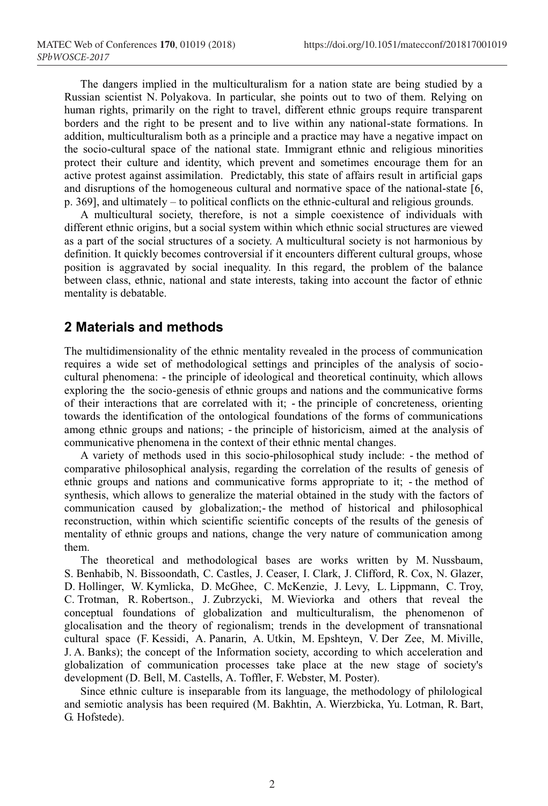The dangers implied in the multiculturalism for a nation state are being studied by a Russian scientist N. Polyakova. In particular, she points out to two of them. Relying on human rights, primarily on the right to travel, different ethnic groups require transparent borders and the right to be present and to live within any national-state formations. In addition, multiculturalism both as a principle and a practice may have a negative impact on the socio-cultural space of the national state. Immigrant ethnic and religious minorities protect their culture and identity, which prevent and sometimes encourage them for an active protest against assimilation. Predictably, this state of affairs result in artificial gaps and disruptions of the homogeneous cultural and normative space of the national-state [6, p. 369], and ultimately – to political conflicts on the ethnic-cultural and religious grounds.

A multicultural society, therefore, is not a simple coexistence of individuals with different ethnic origins, but a social system within which ethnic social structures are viewed as a part of the social structures of a society. A multicultural society is not harmonious by definition. It quickly becomes controversial if it encounters different cultural groups, whose position is aggravated by social inequality. In this regard, the problem of the balance between class, ethnic, national and state interests, taking into account the factor of ethnic mentality is debatable.

#### **2 Materials and methods**

The multidimensionality of the ethnic mentality revealed in the process of communication requires a wide set of methodological settings and principles of the analysis of sociocultural phenomena: - the principle of ideological and theoretical continuity, which allows exploring the the socio-genesis of ethnic groups and nations and the communicative forms of their interactions that are correlated with it; - the principle of concreteness, orienting towards the identification of the ontological foundations of the forms of communications among ethnic groups and nations; - the principle of historicism, aimed at the analysis of communicative phenomena in the context of their ethnic mental changes.

A variety of methods used in this socio-philosophical study include: - the method of comparative philosophical analysis, regarding the correlation of the results of genesis of ethnic groups and nations and communicative forms appropriate to it; - the method of synthesis, which allows to generalize the material obtained in the study with the factors of communication caused by globalization;- the method of historical and philosophical reconstruction, within which scientific scientific concepts of the results of the genesis of mentality of ethnic groups and nations, change the very nature of communication among them.

The theoretical and methodological bases are works written by М. Nussbaum, S. Benhabib, N. Bissoondath, С. Castles, J. Ceaser, I. Clark, J. Clifford, R. Cox, N. Glazer, D. Hollinger, W. Kymlicka, D. McGhee, С. McKenzie, J. Levy, L. Lippmann, C. Troy, C. Trotman, R. Robertson., J. Zubrzycki, M. Wieviorka and others that reveal the conceptual foundations of globalization and multiculturalism, the phenomenon of glocalisation and the theory of regionalism; trends in the development of transnational cultural space (F. Kessidi, А. Panarin, А. Utkin, М. Epshteyn, V. Der Zee, M. Miville, J. A. Banks); the concept of the Information society, according to which acceleration and globalization of communication processes take place at the new stage of society's development (D. Bell, М. Castells, А. Тоffler, F. Webster, M. Poster).

Since ethnic culture is inseparable from its language, the methodology of philological and semiotic analysis has been required (М. Bakhtin, А. Wierzbicka, Yu. Lotman, R. Bart, G. Hofstede).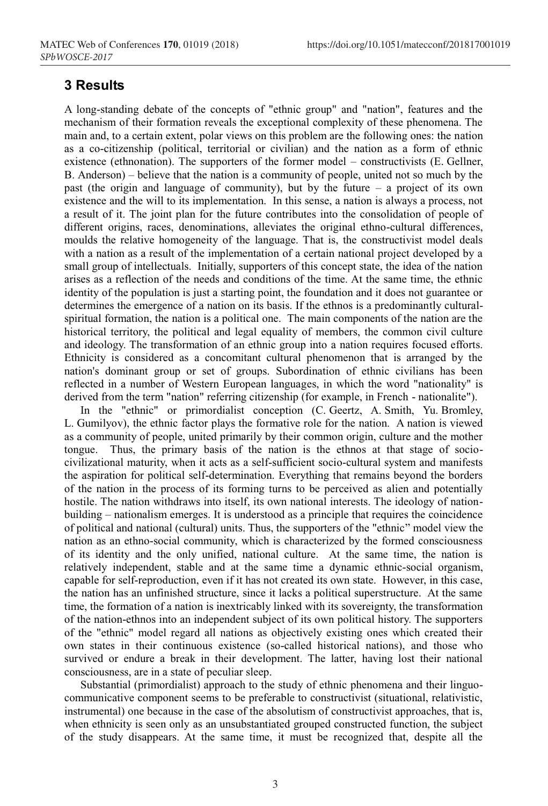# **3 Results**

A long-standing debate of the concepts of "ethnic group" and "nation", features and the mechanism of their formation reveals the exceptional complexity of these phenomena. The main and, to a certain extent, polar views on this problem are the following ones: the nation as a co-citizenship (political, territorial or civilian) and the nation as a form of ethnic existence (ethnonation). The supporters of the former model – constructivists (Е. Gellner, B. Аnderson) – believe that the nation is a community of people, united not so much by the past (the origin and language of community), but by the future – a project of its own existence and the will to its implementation. In this sense, a nation is always a process, not a result of it. The joint plan for the future contributes into the consolidation of people of different origins, races, denominations, alleviates the original ethno-cultural differences, moulds the relative homogeneity of the language. That is, the constructivist model deals with a nation as a result of the implementation of a certain national project developed by a small group of intellectuals. Initially, supporters of this concept state, the idea of the nation arises as a reflection of the needs and conditions of the time. At the same time, the ethnic identity of the population is just a starting point, the foundation and it does not guarantee or determines the emergence of a nation on its basis. If the ethnos is a predominantly culturalspiritual formation, the nation is a political one. The main components of the nation are the historical territory, the political and legal equality of members, the common civil culture and ideology. The transformation of an ethnic group into a nation requires focused efforts. Ethnicity is considered as a concomitant cultural phenomenon that is arranged by the nation's dominant group or set of groups. Subordination of ethnic civilians has been reflected in a number of Western European languages, in which the word "nationality" is derived from the term "nation" referring citizenship (for example, in French - nationalite").

In the "ethnic" or primordialist conception (C. Geertz, A. Smith, Yu. Bromley, L. Gumilyov), the ethnic factor plays the formative role for the nation. A nation is viewed as a community of people, united primarily by their common origin, culture and the mother tongue. Thus, the primary basis of the nation is the ethnos at that stage of sociocivilizational maturity, when it acts as a self-sufficient socio-cultural system and manifests the aspiration for political self-determination. Everything that remains beyond the borders of the nation in the process of its forming turns to be perceived as alien and potentially hostile. The nation withdraws into itself, its own national interests. The ideology of nationbuilding – nationalism emerges. It is understood as a principle that requires the coincidence of political and national (cultural) units. Thus, the supporters of the "ethnic" model view the nation as an ethno-social community, which is characterized by the formed consciousness of its identity and the only unified, national culture. At the same time, the nation is relatively independent, stable and at the same time a dynamic ethnic-social organism, capable for self-reproduction, even if it has not created its own state. However, in this case, the nation has an unfinished structure, since it lacks a political superstructure. At the same time, the formation of a nation is inextricably linked with its sovereignty, the transformation of the nation-ethnos into an independent subject of its own political history. The supporters of the "ethnic" model regard all nations as objectively existing ones which created their own states in their continuous existence (so-called historical nations), and those who survived or endure a break in their development. The latter, having lost their national consciousness, are in a state of peculiar sleep.

Substantial (primordialist) approach to the study of ethnic phenomena and their linguocommunicative component seems to be preferable to constructivist (situational, relativistic, instrumental) one because in the case of the absolutism of constructivist approaches, that is, when ethnicity is seen only as an unsubstantiated grouped constructed function, the subject of the study disappears. At the same time, it must be recognized that, despite all the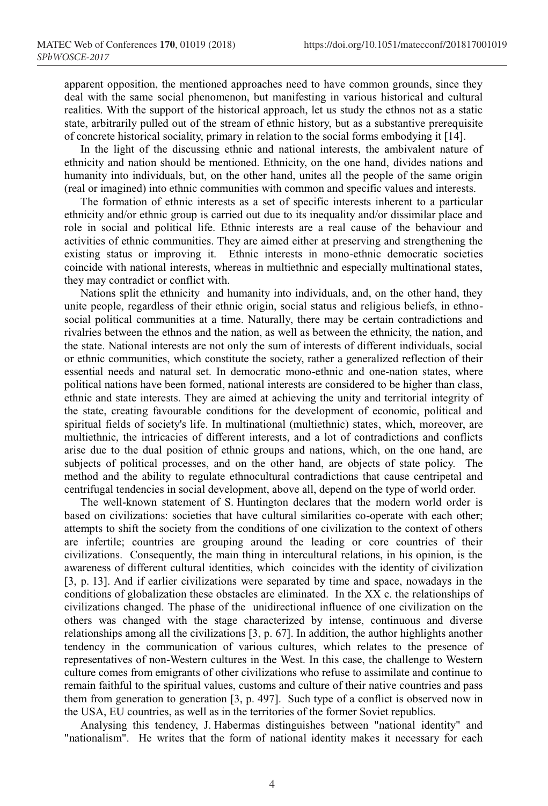apparent opposition, the mentioned approaches need to have common grounds, since they deal with the same social phenomenon, but manifesting in various historical and cultural realities. With the support of the historical approach, let us study the ethnos not as a static state, arbitrarily pulled out of the stream of ethnic history, but as a substantive prerequisite of concrete historical sociality, primary in relation to the social forms embodying it [14].

In the light of the discussing ethnic and national interests, the ambivalent nature of ethnicity and nation should be mentioned. Ethnicity, on the one hand, divides nations and humanity into individuals, but, on the other hand, unites all the people of the same origin (real or imagined) into ethnic communities with common and specific values and interests.

The formation of ethnic interests as a set of specific interests inherent to a particular ethnicity and/or ethnic group is carried out due to its inequality and/or dissimilar place and role in social and political life. Ethnic interests are a real cause of the behaviour and activities of ethnic communities. They are aimed either at preserving and strengthening the existing status or improving it. Ethnic interests in mono-ethnic democratic societies coincide with national interests, whereas in multiethnic and especially multinational states, they may contradict or conflict with.

Nations split the ethnicity and humanity into individuals, and, on the other hand, they unite people, regardless of their ethnic origin, social status and religious beliefs, in ethnosocial political communities at a time. Naturally, there may be certain contradictions and rivalries between the ethnos and the nation, as well as between the ethnicity, the nation, and the state. National interests are not only the sum of interests of different individuals, social or ethnic communities, which constitute the society, rather a generalized reflection of their essential needs and natural set. In democratic mono-ethnic and one-nation states, where political nations have been formed, national interests are considered to be higher than class, ethnic and state interests. They are aimed at achieving the unity and territorial integrity of the state, creating favourable conditions for the development of economic, political and spiritual fields of society's life. In multinational (multiethnic) states, which, moreover, are multiethnic, the intricacies of different interests, and a lot of contradictions and conflicts arise due to the dual position of ethnic groups and nations, which, on the one hand, are subjects of political processes, and on the other hand, are objects of state policy. The method and the ability to regulate ethnocultural contradictions that cause centripetal and centrifugal tendencies in social development, above all, depend on the type of world order.

The well-known statement of S. Huntington declares that the modern world order is based on civilizations: societies that have cultural similarities co-operate with each other; attempts to shift the society from the conditions of one civilization to the context of others are infertile; countries are grouping around the leading or core countries of their civilizations. Consequently, the main thing in intercultural relations, in his opinion, is the awareness of different cultural identities, which coincides with the identity of civilization [3, p. 13]. And if earlier civilizations were separated by time and space, nowadays in the conditions of globalization these obstacles are eliminated. In the XX c. the relationships of civilizations changed. The phase of the unidirectional influence of one civilization on the others was changed with the stage characterized by intense, continuous and diverse relationships among all the civilizations [3, p. 67]. In addition, the author highlights another tendency in the communication of various cultures, which relates to the presence of representatives of non-Western cultures in the West. In this case, the challenge to Western culture comes from emigrants of other civilizations who refuse to assimilate and continue to remain faithful to the spiritual values, customs and culture of their native countries and pass them from generation to generation [3, p. 497]. Such type of a conflict is observed now in the USA, EU countries, as well as in the territories of the former Soviet republics.

Analysing this tendency, J. Habermas distinguishes between "national identity" and "nationalism". He writes that the form of national identity makes it necessary for each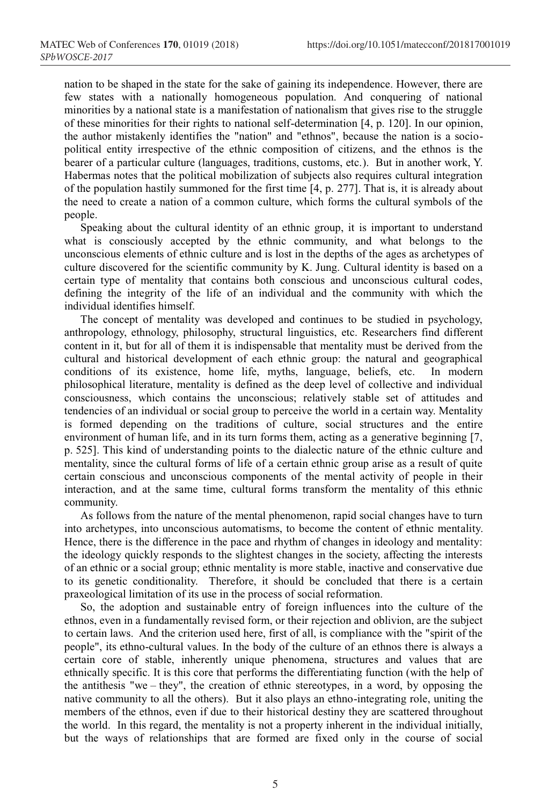nation to be shaped in the state for the sake of gaining its independence. However, there are few states with a nationally homogeneous population. And conquering of national minorities by a national state is a manifestation of nationalism that gives rise to the struggle of these minorities for their rights to national self-determination [4, p. 120]. In our opinion, the author mistakenly identifies the "nation" and "ethnos", because the nation is a sociopolitical entity irrespective of the ethnic composition of citizens, and the ethnos is the bearer of a particular culture (languages, traditions, customs, etc.). But in another work, Y. Habermas notes that the political mobilization of subjects also requires cultural integration of the population hastily summoned for the first time [4, p. 277]. That is, it is already about the need to create a nation of a common culture, which forms the cultural symbols of the people.

Speaking about the cultural identity of an ethnic group, it is important to understand what is consciously accepted by the ethnic community, and what belongs to the unconscious elements of ethnic culture and is lost in the depths of the ages as archetypes of culture discovered for the scientific community by K. Jung. Cultural identity is based on a certain type of mentality that contains both conscious and unconscious cultural codes, defining the integrity of the life of an individual and the community with which the individual identifies himself.

The concept of mentality was developed and continues to be studied in psychology, anthropology, ethnology, philosophy, structural linguistics, etc. Researchers find different content in it, but for all of them it is indispensable that mentality must be derived from the cultural and historical development of each ethnic group: the natural and geographical conditions of its existence, home life, myths, language, beliefs, etc. In modern philosophical literature, mentality is defined as the deep level of collective and individual consciousness, which contains the unconscious; relatively stable set of attitudes and tendencies of an individual or social group to perceive the world in a certain way. Mentality is formed depending on the traditions of culture, social structures and the entire environment of human life, and in its turn forms them, acting as a generative beginning [7, p. 525]. This kind of understanding points to the dialectic nature of the ethnic culture and mentality, since the cultural forms of life of a certain ethnic group arise as a result of quite certain conscious and unconscious components of the mental activity of people in their interaction, and at the same time, cultural forms transform the mentality of this ethnic community.

As follows from the nature of the mental phenomenon, rapid social changes have to turn into archetypes, into unconscious automatisms, to become the content of ethnic mentality. Hence, there is the difference in the pace and rhythm of changes in ideology and mentality: the ideology quickly responds to the slightest changes in the society, affecting the interests of an ethnic or a social group; ethnic mentality is more stable, inactive and conservative due to its genetic conditionality. Therefore, it should be concluded that there is a certain praxeological limitation of its use in the process of social reformation.

So, the adoption and sustainable entry of foreign influences into the culture of the ethnos, even in a fundamentally revised form, or their rejection and oblivion, are the subject to certain laws. And the criterion used here, first of all, is compliance with the "spirit of the people", its ethno-cultural values. In the body of the culture of an ethnos there is always a certain core of stable, inherently unique phenomena, structures and values that are ethnically specific. It is this core that performs the differentiating function (with the help of the antithesis "we – they", the creation of ethnic stereotypes, in a word, by opposing the native community to all the others). But it also plays an ethno-integrating role, uniting the members of the ethnos, even if due to their historical destiny they are scattered throughout the world. In this regard, the mentality is not a property inherent in the individual initially, but the ways of relationships that are formed are fixed only in the course of social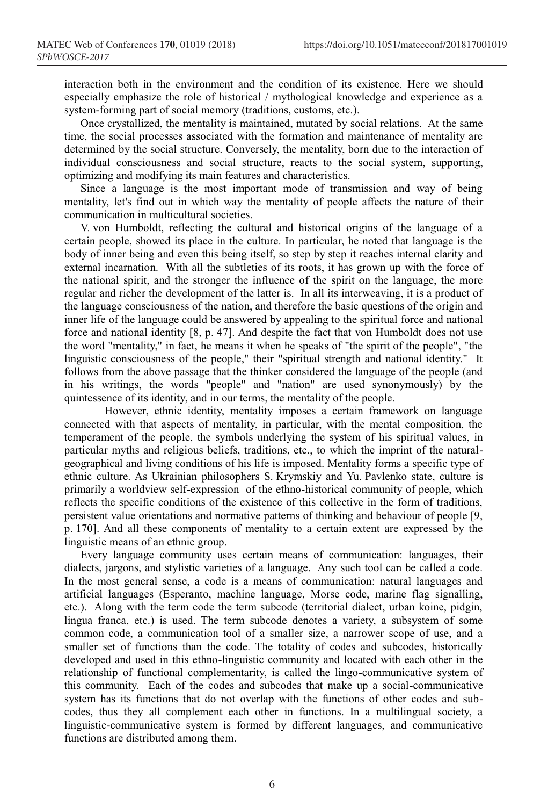interaction both in the environment and the condition of its existence. Here we should especially emphasize the role of historical / mythological knowledge and experience as a system-forming part of social memory (traditions, customs, etc.).

Once crystallized, the mentality is maintained, mutated by social relations. At the same time, the social processes associated with the formation and maintenance of mentality are determined by the social structure. Conversely, the mentality, born due to the interaction of individual consciousness and social structure, reacts to the social system, supporting, optimizing and modifying its main features and characteristics.

Since a language is the most important mode of transmission and way of being mentality, let's find out in which way the mentality of people affects the nature of their communication in multicultural societies.

V. von Humboldt, reflecting the cultural and historical origins of the language of a certain people, showed its place in the culture. In particular, he noted that language is the body of inner being and even this being itself, so step by step it reaches internal clarity and external incarnation. With all the subtleties of its roots, it has grown up with the force of the national spirit, and the stronger the influence of the spirit on the language, the more regular and richer the development of the latter is. In all its interweaving, it is a product of the language consciousness of the nation, and therefore the basic questions of the origin and inner life of the language could be answered by appealing to the spiritual force and national force and national identity [8, p. 47]. And despite the fact that von Humboldt does not use the word "mentality," in fact, he means it when he speaks of "the spirit of the people", "the linguistic consciousness of the people," their "spiritual strength and national identity." It follows from the above passage that the thinker considered the language of the people (and in his writings, the words "people" and "nation" are used synonymously) by the quintessence of its identity, and in our terms, the mentality of the people.

However, ethnic identity, mentality imposes a certain framework on language connected with that aspects of mentality, in particular, with the mental composition, the temperament of the people, the symbols underlying the system of his spiritual values, in particular myths and religious beliefs, traditions, etc., to which the imprint of the naturalgeographical and living conditions of his life is imposed. Mentality forms a specific type of ethnic culture. As Ukrainian philosophers S. Krymskiy and Yu. Pavlenko state, culture is primarily a worldview self-expression of the ethno-historical community of people, which reflects the specific conditions of the existence of this collective in the form of traditions, persistent value orientations and normative patterns of thinking and behaviour of people [9, p. 170]. And all these components of mentality to a certain extent are expressed by the linguistic means of an ethnic group.

Every language community uses certain means of communication: languages, their dialects, jargons, and stylistic varieties of a language. Any such tool can be called a code. In the most general sense, a code is a means of communication: natural languages and artificial languages (Esperanto, machine language, Morse code, marine flag signalling, etc.). Along with the term code the term subcode (territorial dialect, urban koine, pidgin, lingua franca, etc.) is used. The term subcode denotes a variety, a subsystem of some common code, a communication tool of a smaller size, a narrower scope of use, and a smaller set of functions than the code. The totality of codes and subcodes, historically developed and used in this ethno-linguistic community and located with each other in the relationship of functional complementarity, is called the lingo-communicative system of this community. Each of the codes and subcodes that make up a social-communicative system has its functions that do not overlap with the functions of other codes and subcodes, thus they all complement each other in functions. In a multilingual society, a linguistic-communicative system is formed by different languages, and communicative functions are distributed among them.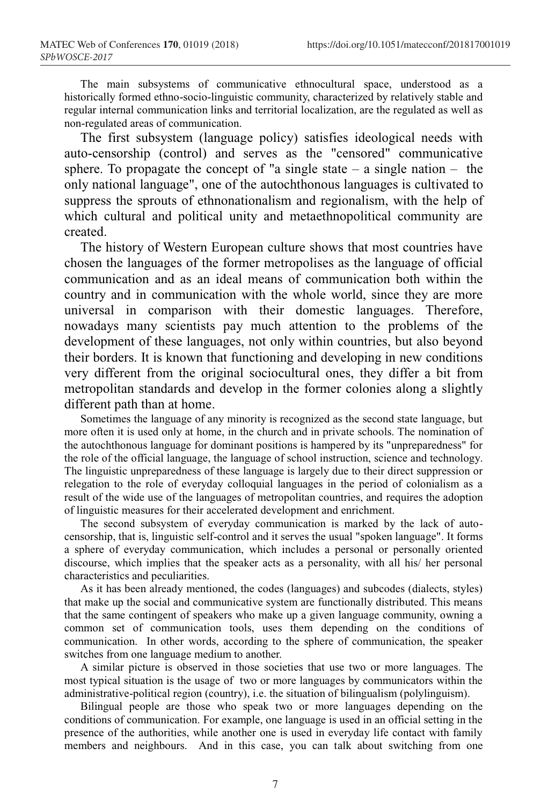The main subsystems of communicative ethnocultural space, understood as a historically formed ethno-socio-linguistic community, characterized by relatively stable and regular internal communication links and territorial localization, are the regulated as well as non-regulated areas of communication.

The first subsystem (language policy) satisfies ideological needs with auto-censorship (control) and serves as the "censored" communicative sphere. To propagate the concept of "a single state – a single nation – the only national language", one of the autochthonous languages is cultivated to suppress the sprouts of ethnonationalism and regionalism, with the help of which cultural and political unity and metaethnopolitical community are created.

The history of Western European culture shows that most countries have chosen the languages of the former metropolises as the language of official communication and as an ideal means of communication both within the country and in communication with the whole world, since they are more universal in comparison with their domestic languages. Therefore, nowadays many scientists pay much attention to the problems of the development of these languages, not only within countries, but also beyond their borders. It is known that functioning and developing in new conditions very different from the original sociocultural ones, they differ a bit from metropolitan standards and develop in the former colonies along a slightly different path than at home.

Sometimes the language of any minority is recognized as the second state language, but more often it is used only at home, in the church and in private schools. The nomination of the autochthonous language for dominant positions is hampered by its "unpreparedness" for the role of the official language, the language of school instruction, science and technology. The linguistic unpreparedness of these language is largely due to their direct suppression or relegation to the role of everyday colloquial languages in the period of colonialism as a result of the wide use of the languages of metropolitan countries, and requires the adoption of linguistic measures for their accelerated development and enrichment.

The second subsystem of everyday communication is marked by the lack of autocensorship, that is, linguistic self-control and it serves the usual "spoken language". It forms a sphere of everyday communication, which includes a personal or personally oriented discourse, which implies that the speaker acts as a personality, with all his/ her personal characteristics and peculiarities.

As it has been already mentioned, the codes (languages) and subcodes (dialects, styles) that make up the social and communicative system are functionally distributed. This means that the same contingent of speakers who make up a given language community, owning a common set of communication tools, uses them depending on the conditions of communication. In other words, according to the sphere of communication, the speaker switches from one language medium to another.

A similar picture is observed in those societies that use two or more languages. The most typical situation is the usage of two or more languages by communicators within the administrative-political region (country), i.e. the situation of bilingualism (polylinguism).

Bilingual people are those who speak two or more languages depending on the conditions of communication. For example, one language is used in an official setting in the presence of the authorities, while another one is used in everyday life contact with family members and neighbours. And in this case, you can talk about switching from one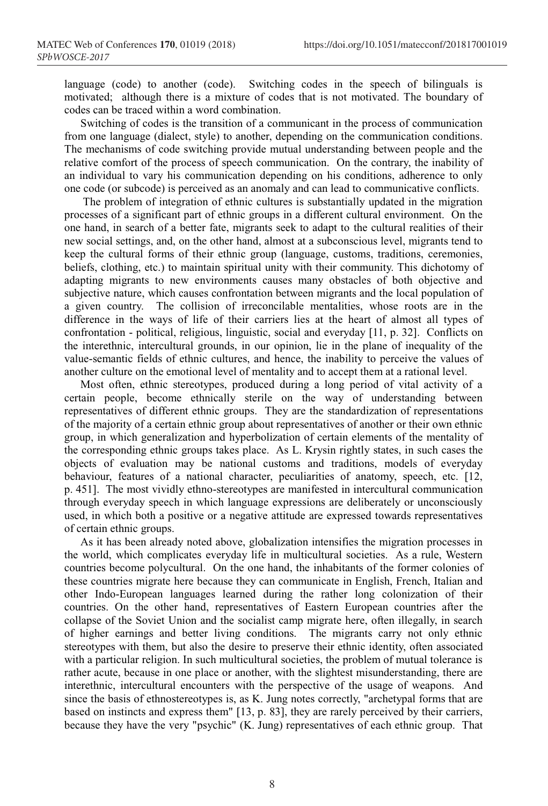language (code) to another (code). Switching codes in the speech of bilinguals is motivated; although there is a mixture of codes that is not motivated. The boundary of codes can be traced within a word combination.

Switching of codes is the transition of a communicant in the process of communication from one language (dialect, style) to another, depending on the communication conditions. The mechanisms of code switching provide mutual understanding between people and the relative comfort of the process of speech communication. On the contrary, the inability of an individual to vary his communication depending on his conditions, adherence to only one code (or subcode) is perceived as an anomaly and can lead to communicative conflicts.

The problem of integration of ethnic cultures is substantially updated in the migration processes of a significant part of ethnic groups in a different cultural environment. On the one hand, in search of a better fate, migrants seek to adapt to the cultural realities of their new social settings, and, on the other hand, almost at a subconscious level, migrants tend to keep the cultural forms of their ethnic group (language, customs, traditions, ceremonies, beliefs, clothing, etc.) to maintain spiritual unity with their community. This dichotomy of adapting migrants to new environments causes many obstacles of both objective and subjective nature, which causes confrontation between migrants and the local population of a given country. The collision of irreconcilable mentalities, whose roots are in the difference in the ways of life of their carriers lies at the heart of almost all types of confrontation - political, religious, linguistic, social and everyday [11, p. 32]. Conflicts on the interethnic, intercultural grounds, in our opinion, lie in the plane of inequality of the value-semantic fields of ethnic cultures, and hence, the inability to perceive the values of another culture on the emotional level of mentality and to accept them at a rational level.

Most often, ethnic stereotypes, produced during a long period of vital activity of a certain people, become ethnically sterile on the way of understanding between representatives of different ethnic groups. They are the standardization of representations of the majority of a certain ethnic group about representatives of another or their own ethnic group, in which generalization and hyperbolization of certain elements of the mentality of the corresponding ethnic groups takes place. As L. Krysin rightly states, in such cases the objects of evaluation may be national customs and traditions, models of everyday behaviour, features of a national character, peculiarities of anatomy, speech, etc. [12, p. 451]. The most vividly ethno-stereotypes are manifested in intercultural communication through everyday speech in which language expressions are deliberately or unconsciously used, in which both a positive or a negative attitude are expressed towards representatives of certain ethnic groups.

As it has been already noted above, globalization intensifies the migration processes in the world, which complicates everyday life in multicultural societies. As a rule, Western countries become polycultural. On the one hand, the inhabitants of the former colonies of these countries migrate here because they can communicate in English, French, Italian and other Indo-European languages learned during the rather long colonization of their countries. On the other hand, representatives of Eastern European countries after the collapse of the Soviet Union and the socialist camp migrate here, often illegally, in search of higher earnings and better living conditions. The migrants carry not only ethnic stereotypes with them, but also the desire to preserve their ethnic identity, often associated with a particular religion. In such multicultural societies, the problem of mutual tolerance is rather acute, because in one place or another, with the slightest misunderstanding, there are interethnic, intercultural encounters with the perspective of the usage of weapons. And since the basis of ethnostereotypes is, as K. Jung notes correctly, "archetypal forms that are based on instincts and express them" [13, p. 83], they are rarely perceived by their carriers, because they have the very "psychic" (K. Jung) representatives of each ethnic group. That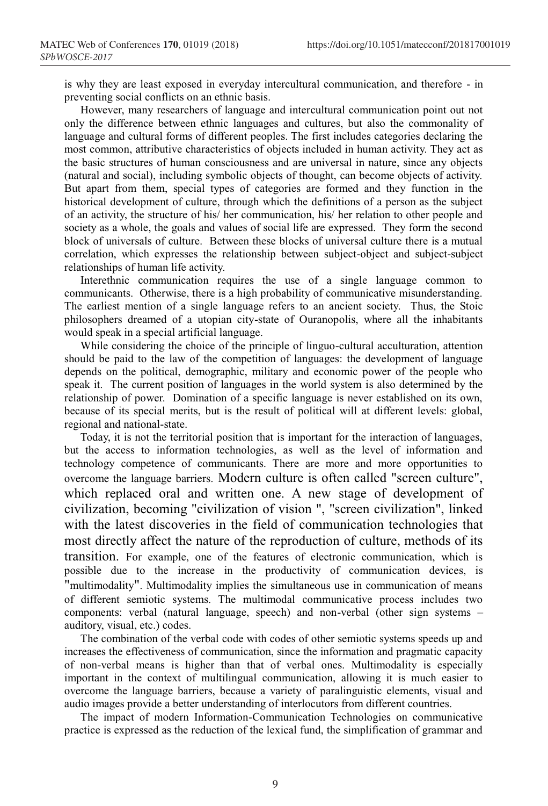is why they are least exposed in everyday intercultural communication, and therefore - in preventing social conflicts on an ethnic basis.

However, many researchers of language and intercultural communication point out not only the difference between ethnic languages and cultures, but also the commonality of language and cultural forms of different peoples. The first includes categories declaring the most common, attributive characteristics of objects included in human activity. They act as the basic structures of human consciousness and are universal in nature, since any objects (natural and social), including symbolic objects of thought, can become objects of activity. But apart from them, special types of categories are formed and they function in the historical development of culture, through which the definitions of a person as the subject of an activity, the structure of his/ her communication, his/ her relation to other people and society as a whole, the goals and values of social life are expressed. They form the second block of universals of culture. Between these blocks of universal culture there is a mutual correlation, which expresses the relationship between subject-object and subject-subject relationships of human life activity.

Interethnic communication requires the use of a single language common to communicants. Otherwise, there is a high probability of communicative misunderstanding. The earliest mention of a single language refers to an ancient society. Thus, the Stoic philosophers dreamed of a utopian city-state of Ouranopolis, where all the inhabitants would speak in a special artificial language.

While considering the choice of the principle of linguo-cultural acculturation, attention should be paid to the law of the competition of languages: the development of language depends on the political, demographic, military and economic power of the people who speak it. The current position of languages in the world system is also determined by the relationship of power. Domination of a specific language is never established on its own, because of its special merits, but is the result of political will at different levels: global, regional and national-state.

Today, it is not the territorial position that is important for the interaction of languages, but the access to information technologies, as well as the level of information and technology competence of communicants. There are more and more opportunities to overcome the language barriers. Modern culture is often called "screen culture", which replaced oral and written one. A new stage of development of civilization, becoming "civilization of vision ", "screen civilization", linked with the latest discoveries in the field of communication technologies that most directly affect the nature of the reproduction of culture, methods of its transition. For example, one of the features of electronic communication, which is possible due to the increase in the productivity of communication devices, is "multimodality". Multimodality implies the simultaneous use in communication of means of different semiotic systems. The multimodal communicative process includes two components: verbal (natural language, speech) and non-verbal (other sign systems – auditory, visual, etc.) codes.

The combination of the verbal code with codes of other semiotic systems speeds up and increases the effectiveness of communication, since the information and pragmatic capacity of non-verbal means is higher than that of verbal ones. Multimodality is especially important in the context of multilingual communication, allowing it is much easier to overcome the language barriers, because a variety of paralinguistic elements, visual and audio images provide a better understanding of interlocutors from different countries.

The impact of modern Information-Communication Technologies on communicative practice is expressed as the reduction of the lexical fund, the simplification of grammar and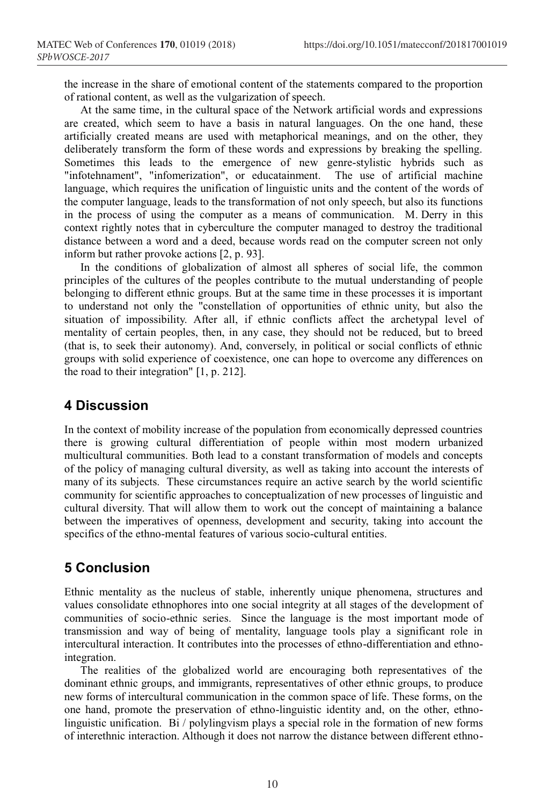the increase in the share of emotional content of the statements compared to the proportion of rational content, as well as the vulgarization of speech.

At the same time, in the cultural space of the Network artificial words and expressions are created, which seem to have a basis in natural languages. On the one hand, these artificially created means are used with metaphorical meanings, and on the other, they deliberately transform the form of these words and expressions by breaking the spelling. Sometimes this leads to the emergence of new genre-stylistic hybrids such as "infotehnament", "infomerization", or educatainment. The use of artificial machine language, which requires the unification of linguistic units and the content of the words of the computer language, leads to the transformation of not only speech, but also its functions in the process of using the computer as a means of communication. M. Derry in this context rightly notes that in cyberculture the computer managed to destroy the traditional distance between a word and a deed, because words read on the computer screen not only inform but rather provoke actions [2, p. 93].

In the conditions of globalization of almost all spheres of social life, the common principles of the cultures of the peoples contribute to the mutual understanding of people belonging to different ethnic groups. But at the same time in these processes it is important to understand not only the "constellation of opportunities of ethnic unity, but also the situation of impossibility. After all, if ethnic conflicts affect the archetypal level of mentality of certain peoples, then, in any case, they should not be reduced, but to breed (that is, to seek their autonomy). And, conversely, in political or social conflicts of ethnic groups with solid experience of coexistence, one can hope to overcome any differences on the road to their integration" [1, p. 212].

## **4 Discussion**

In the context of mobility increase of the population from economically depressed countries there is growing cultural differentiation of people within most modern urbanized multicultural communities. Both lead to a constant transformation of models and concepts of the policy of managing cultural diversity, as well as taking into account the interests of many of its subjects. These circumstances require an active search by the world scientific community for scientific approaches to conceptualization of new processes of linguistic and cultural diversity. That will allow them to work out the concept of maintaining a balance between the imperatives of openness, development and security, taking into account the specifics of the ethno-mental features of various socio-cultural entities.

# **5 Conclusion**

Ethnic mentality as the nucleus of stable, inherently unique phenomena, structures and values consolidate ethnophores into one social integrity at all stages of the development of communities of socio-ethnic series. Since the language is the most important mode of transmission and way of being of mentality, language tools play a significant role in intercultural interaction. It contributes into the processes of ethno-differentiation and ethnointegration.

The realities of the globalized world are encouraging both representatives of the dominant ethnic groups, and immigrants, representatives of other ethnic groups, to produce new forms of intercultural communication in the common space of life. These forms, on the one hand, promote the preservation of ethno-linguistic identity and, on the other, ethnolinguistic unification. Bi / polylingvism plays a special role in the formation of new forms of interethnic interaction. Although it does not narrow the distance between different ethno